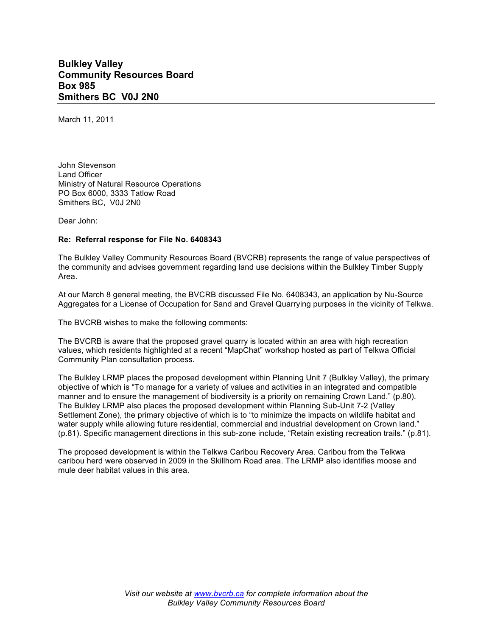## **Bulkley Valley Community Resources Board Box 985 Smithers BC V0J 2N0**

March 11, 2011

John Stevenson Land Officer Ministry of Natural Resource Operations PO Box 6000, 3333 Tatlow Road Smithers BC, V0J 2N0

Dear John:

## **Re: Referral response for File No. 6408343**

The Bulkley Valley Community Resources Board (BVCRB) represents the range of value perspectives of the community and advises government regarding land use decisions within the Bulkley Timber Supply Area.

At our March 8 general meeting, the BVCRB discussed File No. 6408343, an application by Nu-Source Aggregates for a License of Occupation for Sand and Gravel Quarrying purposes in the vicinity of Telkwa.

The BVCRB wishes to make the following comments:

The BVCRB is aware that the proposed gravel quarry is located within an area with high recreation values, which residents highlighted at a recent "MapChat" workshop hosted as part of Telkwa Official Community Plan consultation process.

The Bulkley LRMP places the proposed development within Planning Unit 7 (Bulkley Valley), the primary objective of which is "To manage for a variety of values and activities in an integrated and compatible manner and to ensure the management of biodiversity is a priority on remaining Crown Land." (p.80). The Bulkley LRMP also places the proposed development within Planning Sub-Unit 7-2 (Valley Settlement Zone), the primary objective of which is to "to minimize the impacts on wildlife habitat and water supply while allowing future residential, commercial and industrial development on Crown land." (p.81). Specific management directions in this sub-zone include, "Retain existing recreation trails." (p.81).

The proposed development is within the Telkwa Caribou Recovery Area. Caribou from the Telkwa caribou herd were observed in 2009 in the Skillhorn Road area. The LRMP also identifies moose and mule deer habitat values in this area.